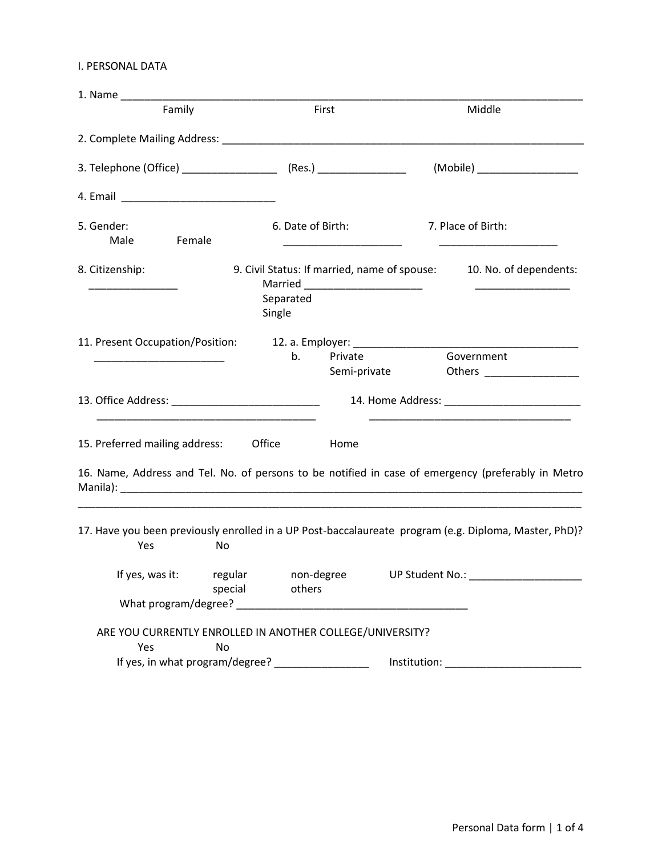### I. PERSONAL DATA

|                                                                                                                                      | 1. Name                                                              |                                                                                                                      |
|--------------------------------------------------------------------------------------------------------------------------------------|----------------------------------------------------------------------|----------------------------------------------------------------------------------------------------------------------|
| Family                                                                                                                               | First                                                                | Middle                                                                                                               |
|                                                                                                                                      |                                                                      |                                                                                                                      |
| 3. Telephone (Office) _______________________ (Res.) _____________________                                                           |                                                                      | (Mobile) __________________                                                                                          |
|                                                                                                                                      |                                                                      |                                                                                                                      |
| 5. Gender:<br>Male<br><b>Example</b> Female                                                                                          | 6. Date of Birth:                                                    | 7. Place of Birth:                                                                                                   |
| 8. Citizenship:                                                                                                                      | Separated<br>Single                                                  | 9. Civil Status: If married, name of spouse: 10. No. of dependents:<br><u> 2002 - John Amerikaanse kommunister (</u> |
| 11. Present Occupation/Position: 12. a. Employer: ______________________________<br><u> 1989 - Johann John Stone, mars eta bat e</u> | Private<br>b.<br>Semi-private                                        | Government                                                                                                           |
|                                                                                                                                      |                                                                      |                                                                                                                      |
| 15. Preferred mailing address: Office                                                                                                | Home                                                                 |                                                                                                                      |
|                                                                                                                                      |                                                                      | 16. Name, Address and Tel. No. of persons to be notified in case of emergency (preferably in Metro                   |
| Yes<br>No                                                                                                                            |                                                                      | 17. Have you been previously enrolled in a UP Post-baccalaureate program (e.g. Diploma, Master, PhD)?                |
|                                                                                                                                      | If yes, was it: regular non-degree UP Student No.:<br>special others |                                                                                                                      |
|                                                                                                                                      |                                                                      |                                                                                                                      |
|                                                                                                                                      |                                                                      |                                                                                                                      |
| Yes<br>No                                                                                                                            | ARE YOU CURRENTLY ENROLLED IN ANOTHER COLLEGE/UNIVERSITY?            |                                                                                                                      |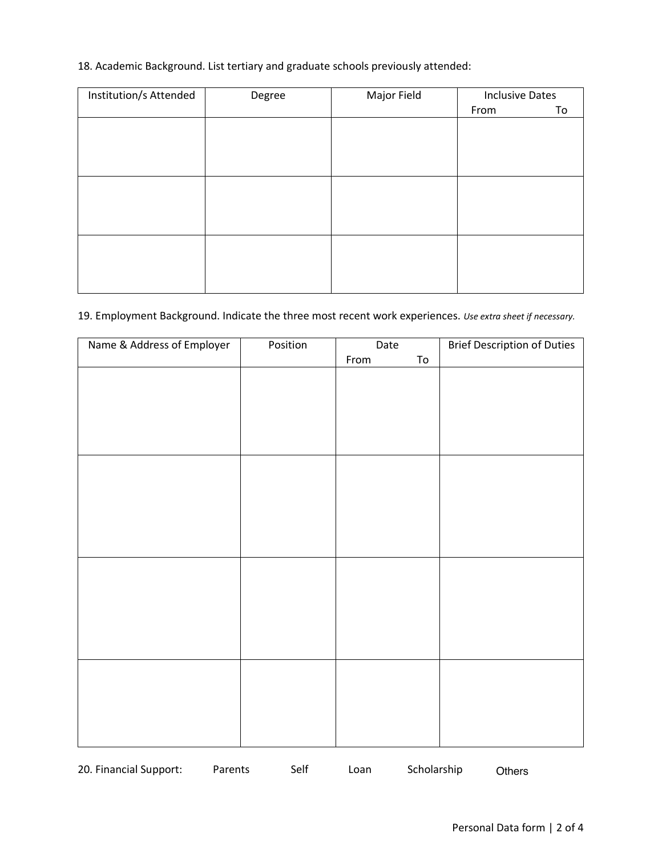## 18. Academic Background. List tertiary and graduate schools previously attended:

| Institution/s Attended | Degree | Major Field | <b>Inclusive Dates</b> |    |
|------------------------|--------|-------------|------------------------|----|
|                        |        |             | From                   | To |
|                        |        |             |                        |    |
|                        |        |             |                        |    |
|                        |        |             |                        |    |
|                        |        |             |                        |    |
|                        |        |             |                        |    |
|                        |        |             |                        |    |
|                        |        |             |                        |    |
|                        |        |             |                        |    |
|                        |        |             |                        |    |
|                        |        |             |                        |    |
|                        |        |             |                        |    |
|                        |        |             |                        |    |

# 19. Employment Background. Indicate the three most recent work experiences. *Use extra sheet if necessary.*

| Name & Address of Employer | Position | Date |            | <b>Brief Description of Duties</b> |
|----------------------------|----------|------|------------|------------------------------------|
|                            |          | From | ${\tt To}$ |                                    |
|                            |          |      |            |                                    |
|                            |          |      |            |                                    |
|                            |          |      |            |                                    |
|                            |          |      |            |                                    |
|                            |          |      |            |                                    |
|                            |          |      |            |                                    |
|                            |          |      |            |                                    |
|                            |          |      |            |                                    |
|                            |          |      |            |                                    |
|                            |          |      |            |                                    |
|                            |          |      |            |                                    |
|                            |          |      |            |                                    |
|                            |          |      |            |                                    |
|                            |          |      |            |                                    |
|                            |          |      |            |                                    |
|                            |          |      |            |                                    |
|                            |          |      |            |                                    |
|                            |          |      |            |                                    |
|                            |          |      |            |                                    |
|                            |          |      |            |                                    |
|                            |          |      |            |                                    |
|                            |          |      |            |                                    |
|                            |          |      |            |                                    |

20. Financial Support: Parents Self Loan Scholarship Others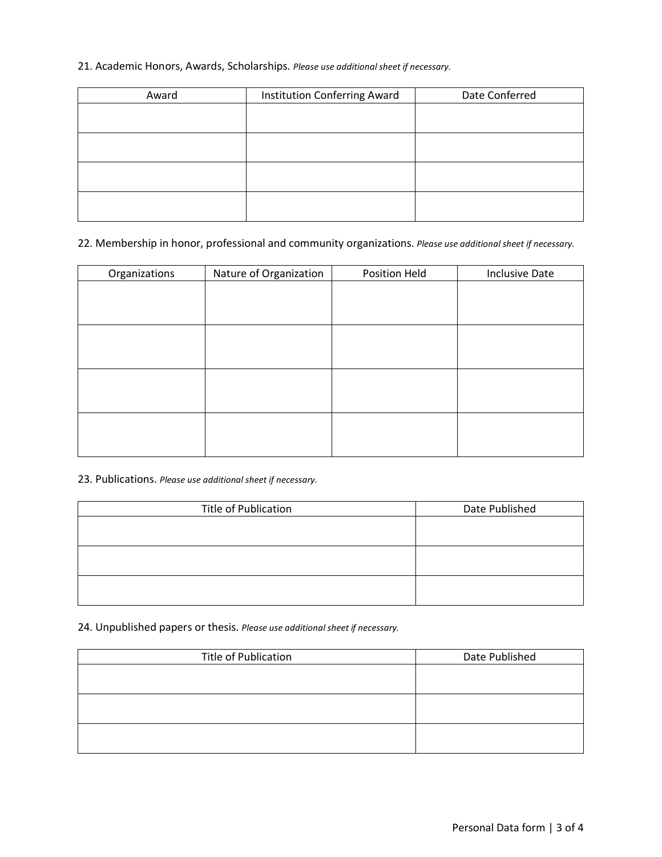#### 21. Academic Honors, Awards, Scholarships. *Please use additional sheet if necessary.*

| Award | Institution Conferring Award | Date Conferred |
|-------|------------------------------|----------------|
|       |                              |                |
|       |                              |                |
|       |                              |                |
|       |                              |                |
|       |                              |                |
|       |                              |                |
|       |                              |                |
|       |                              |                |

#### 22. Membership in honor, professional and community organizations. *Please use additional sheet if necessary.*

| Organizations | Nature of Organization | Position Held | <b>Inclusive Date</b> |
|---------------|------------------------|---------------|-----------------------|
|               |                        |               |                       |
|               |                        |               |                       |
|               |                        |               |                       |
|               |                        |               |                       |
|               |                        |               |                       |
|               |                        |               |                       |
|               |                        |               |                       |
|               |                        |               |                       |
|               |                        |               |                       |
|               |                        |               |                       |
|               |                        |               |                       |
|               |                        |               |                       |

#### 23. Publications. *Please use additional sheet if necessary.*

| <b>Title of Publication</b> | Date Published |
|-----------------------------|----------------|
|                             |                |
|                             |                |
|                             |                |
|                             |                |
|                             |                |
|                             |                |

#### 24. Unpublished papers or thesis. *Please use additional sheet if necessary.*

| Title of Publication | Date Published |
|----------------------|----------------|
|                      |                |
|                      |                |
|                      |                |
|                      |                |
|                      |                |
|                      |                |